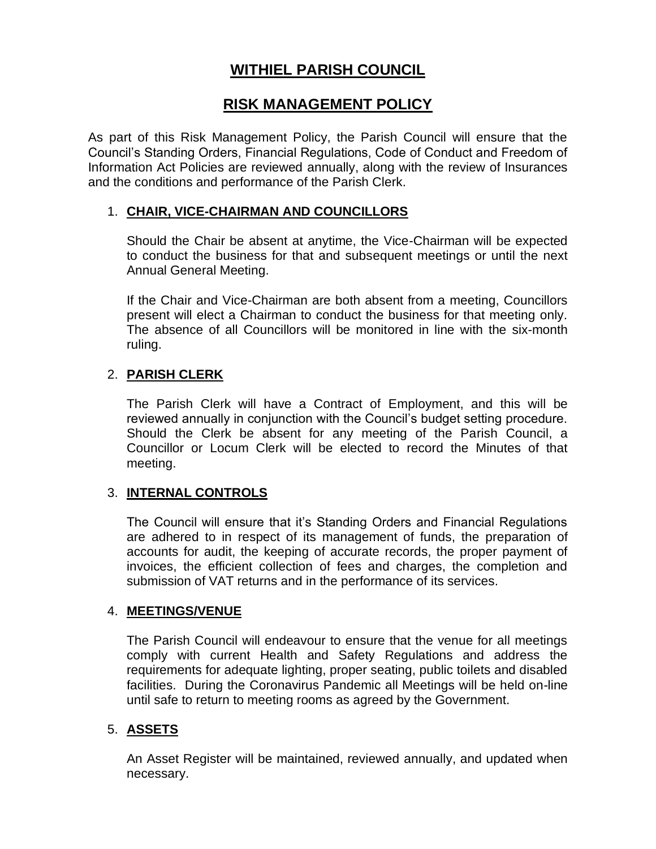# **WITHIEL PARISH COUNCIL**

## **RISK MANAGEMENT POLICY**

As part of this Risk Management Policy, the Parish Council will ensure that the Council's Standing Orders, Financial Regulations, Code of Conduct and Freedom of Information Act Policies are reviewed annually, along with the review of Insurances and the conditions and performance of the Parish Clerk.

#### 1. **CHAIR, VICE-CHAIRMAN AND COUNCILLORS**

Should the Chair be absent at anytime, the Vice-Chairman will be expected to conduct the business for that and subsequent meetings or until the next Annual General Meeting.

If the Chair and Vice-Chairman are both absent from a meeting, Councillors present will elect a Chairman to conduct the business for that meeting only. The absence of all Councillors will be monitored in line with the six-month ruling.

## 2. **PARISH CLERK**

The Parish Clerk will have a Contract of Employment, and this will be reviewed annually in conjunction with the Council's budget setting procedure. Should the Clerk be absent for any meeting of the Parish Council, a Councillor or Locum Clerk will be elected to record the Minutes of that meeting.

#### 3. **INTERNAL CONTROLS**

The Council will ensure that it's Standing Orders and Financial Regulations are adhered to in respect of its management of funds, the preparation of accounts for audit, the keeping of accurate records, the proper payment of invoices, the efficient collection of fees and charges, the completion and submission of VAT returns and in the performance of its services.

#### 4. **MEETINGS/VENUE**

The Parish Council will endeavour to ensure that the venue for all meetings comply with current Health and Safety Regulations and address the requirements for adequate lighting, proper seating, public toilets and disabled facilities. During the Coronavirus Pandemic all Meetings will be held on-line until safe to return to meeting rooms as agreed by the Government.

## 5. **ASSETS**

An Asset Register will be maintained, reviewed annually, and updated when necessary.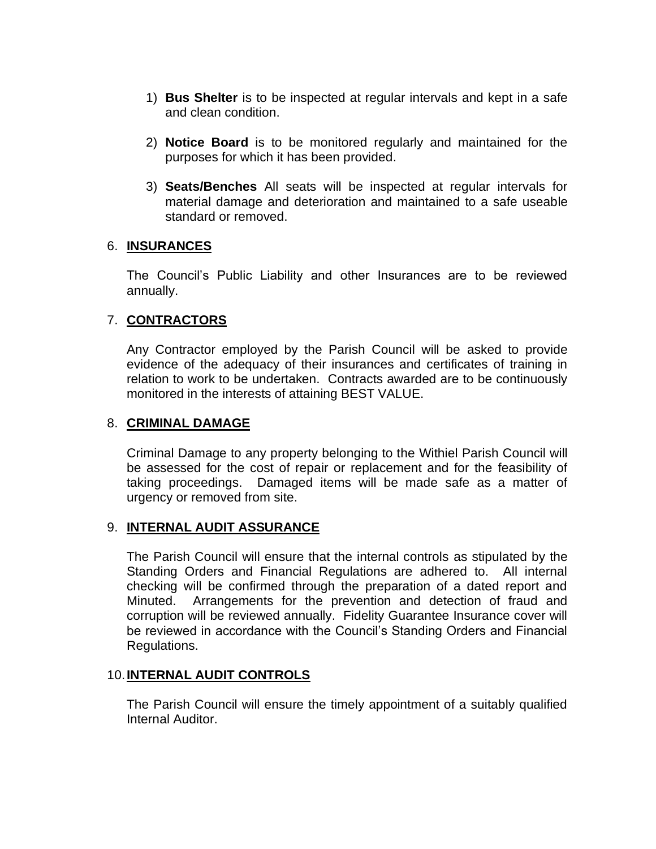- 1) **Bus Shelter** is to be inspected at regular intervals and kept in a safe and clean condition.
- 2) **Notice Board** is to be monitored regularly and maintained for the purposes for which it has been provided.
- 3) **Seats/Benches** All seats will be inspected at regular intervals for material damage and deterioration and maintained to a safe useable standard or removed.

#### 6. **INSURANCES**

The Council's Public Liability and other Insurances are to be reviewed annually.

## 7. **CONTRACTORS**

Any Contractor employed by the Parish Council will be asked to provide evidence of the adequacy of their insurances and certificates of training in relation to work to be undertaken. Contracts awarded are to be continuously monitored in the interests of attaining BEST VALUE.

### 8. **CRIMINAL DAMAGE**

Criminal Damage to any property belonging to the Withiel Parish Council will be assessed for the cost of repair or replacement and for the feasibility of taking proceedings. Damaged items will be made safe as a matter of urgency or removed from site.

#### 9. **INTERNAL AUDIT ASSURANCE**

The Parish Council will ensure that the internal controls as stipulated by the Standing Orders and Financial Regulations are adhered to. All internal checking will be confirmed through the preparation of a dated report and Minuted. Arrangements for the prevention and detection of fraud and corruption will be reviewed annually. Fidelity Guarantee Insurance cover will be reviewed in accordance with the Council's Standing Orders and Financial Regulations.

#### 10.**INTERNAL AUDIT CONTROLS**

The Parish Council will ensure the timely appointment of a suitably qualified Internal Auditor.